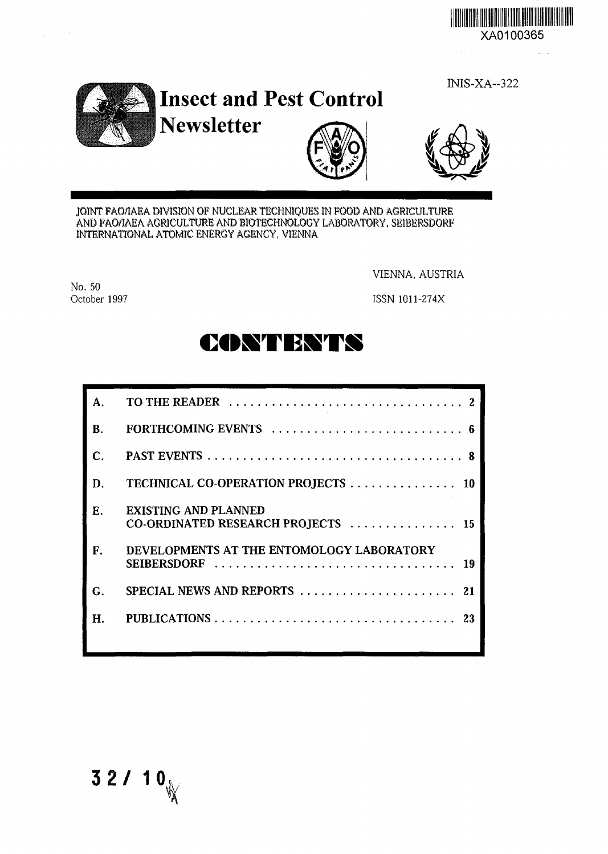

INIS-XA--322







JOINT FAO/IAEA DIVISION OF NUCLEAR TECHNIQUES IN FOOD AND AGRICULTURE AND FAO/IAEA AGRICULTURE AND BIOTECHNOLOGY LABORATORY, SEIBERSDORF INTERNATIONAL ATOMIC ENERGY AGENCY, VIENNA

No. 50 October 1997

 $\sim$ 

VIENNA, AUSTRIA

ISSN 1011-274X

**CONTESTS**

| А. |                                                                   |
|----|-------------------------------------------------------------------|
| B. |                                                                   |
| C. |                                                                   |
| D. | TECHNICAL CO-OPERATION PROJECTS 10                                |
| Е. | <b>EXISTING AND PLANNED</b><br>CO-ORDINATED RESEARCH PROJECTS  15 |
| F. | DEVELOPMENTS AT THE ENTOMOLOGY LABORATORY<br>SEIBERSDORF          |
| G. | SPECIAL NEWS AND REPORTS<br>21                                    |
| Н. | PUBLICATIONS<br>23                                                |
|    |                                                                   |

**3 2 / 10**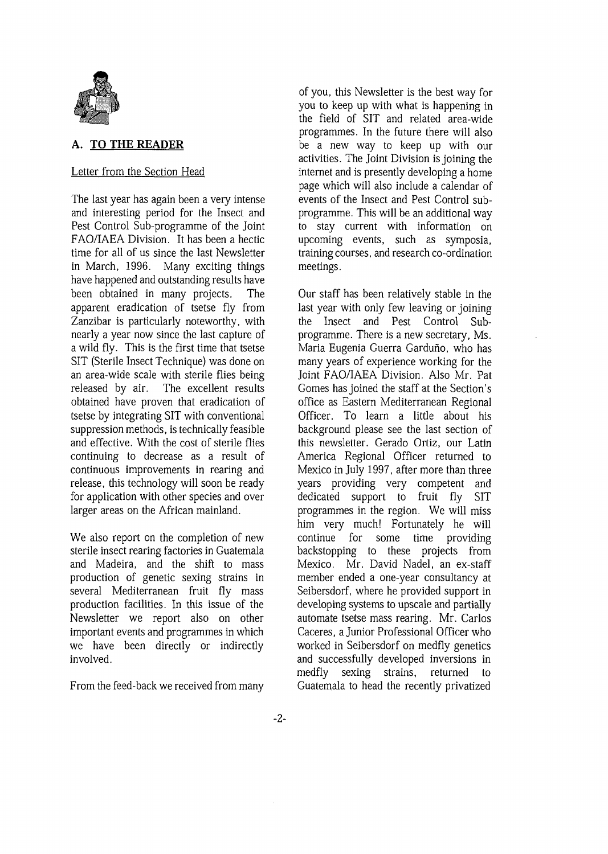

# **A. TO THE READER**

## Letter from the Section Head

The last year has again been a very intense and interesting period for the Insect and Pest Control Sub-programme of the Joint FAO/IAEA Division. It has been a hectic time for all of us since the last Newsletter in March, 1996. Many exciting things have happened and outstanding results have been obtained in many projects. The apparent eradication of tsetse fly from Zanzibar is particularly noteworthy, with nearly a year now since the last capture of a wild fly. This is the first time that tsetse SIT (Sterile Insect Technique) was done on an area-wide scale with sterile flies being released by air. The excellent results obtained have proven that eradication of tsetse by integrating SIT with conventional suppression methods, is technically feasible and effective. With the cost of sterile flies continuing to decrease as a result of continuous improvements in rearing and release, this technology will soon be ready for application with other species and over larger areas on the African mainland.

We also report on the completion of new sterile insect rearing factories in Guatemala and Madeira, and the shift to mass production of genetic sexing strains in several Mediterranean fruit fly mass production facilities. In this issue of the Newsletter we report also on other important events and programmes in which we have been directly or indirectly involved.

From the feed-back we received from many

of you, this Newsletter is the best way for you to keep up with what is happening in the field of SIT and related area-wide programmes. In the future there will also be a new way to keep up with our activities. The Joint Division is joining the internet and is presently developing a home page which will also include a calendar of events of the Insect and Pest Control subprogramme. This will be an additional way to stay current with information on upcoming events, such as symposia, training courses, and research co-ordination meetings.

Our staff has been relatively stable in the last year with only few leaving or joining the Insect and Pest Control Subprogramme. There is a new secretary, Ms. Maria Eugenia Guerra Garduño, who has many years of experience working for the Joint FAO/IAEA Division. Also Mr. Pat Gomes has joined the staff at the Section's office as Eastern Mediterranean Regional Officer. To learn a little about his background please see the last section of this newsletter. Gerado Ortiz, our Latin America Regional Officer returned to Mexico in July 1997, after more than three years providing very competent and dedicated support to fruit fly SIT programmes in the region. We will miss him very much! Fortunately he will continue for some time providing backstopping to these projects from Mexico. Mr. David Nadel, an ex-staff member ended a one-year consultancy at Seibersdorf, where he provided support in developing systems to upscale and partially automate tsetse mass rearing. Mr. Carlos Caceres, a Junior Professional Officer who worked in Seibersdorf on medfly genetics and successfully developed inversions in medfly sexing strains, returned to Guatemala to head the recently privatized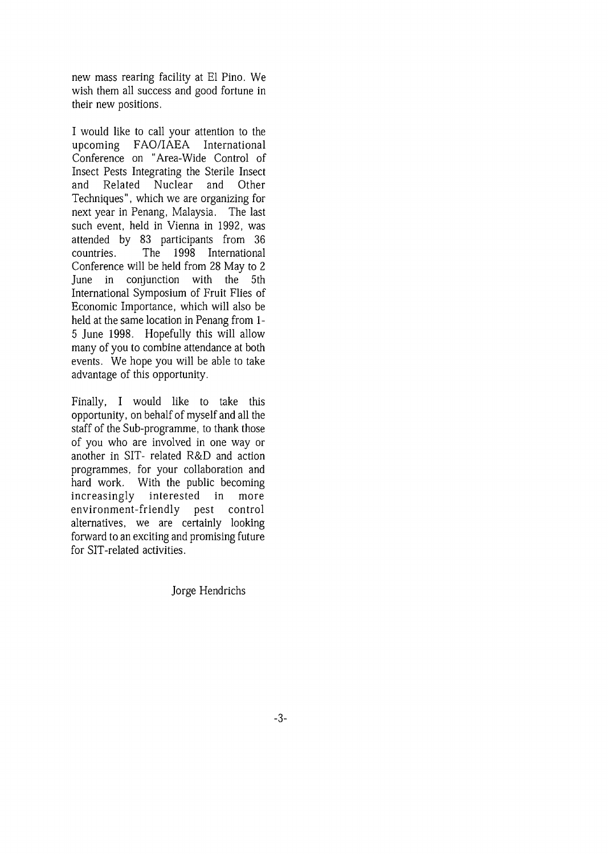new mass rearing facility at El Pino. We wish them all success and good fortune in their new positions.

I would like to call your attention to the upcoming FAO/IAEA International Conference on "Area-Wide Control of Insect Pests Integrating the Sterile Insect and Related Nuclear and Other Techniques", which we are organizing for next year in Penang, Malaysia. The last such event, held in Vienna in 1992, was attended by 83 participants from 36 countries. The 1998 International Conference will be held from 28 May to 2 June in conjunction with the 5th International Symposium of Fruit Flies of Economic Importance, which will also be held at the same location in Penang from 1- 5 June 1998. Hopefully this will allow many of you to combine attendance at both events. We hope you will be able to take advantage of this opportunity.

Finally, I would like to take this opportunity, on behalf of myself and all the staff of the Sub-programme, to thank those of you who are involved in one way or another in SIT- related R&D and action programmes, for your collaboration and hard work. With the public becoming increasingly interested in more environment-friendly pest control alternatives, we are certainly looking forward to an exciting and promising future for SIT-related activities.

Jorge Hendrichs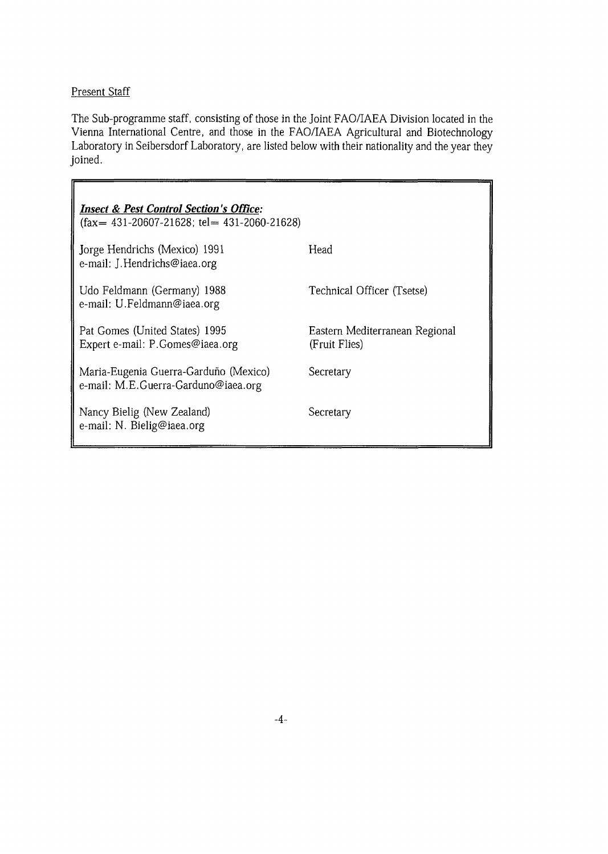# Present Staff

The Sub-programme staff, consisting of those in the Joint FAO/IAEA Division located in the Vienna International Centre, and those in the FAO/IAEA Agricultural and Biotechnology Laboratory in Seibersdorf Laboratory, are listed below with their nationality and the year they joined.

| <b>Insect &amp; Pest Control Section's Office:</b><br>$(fax = 431 - 20607 - 21628; tel = 431 - 2060 - 21628)$ |                                                 |  |  |
|---------------------------------------------------------------------------------------------------------------|-------------------------------------------------|--|--|
| Jorge Hendrichs (Mexico) 1991<br>e-mail: J. Hendrichs@iaea.org                                                | Head                                            |  |  |
| Udo Feldmann (Germany) 1988<br>e-mail: U.Feldmann@iaea.org                                                    | Technical Officer (Tsetse)                      |  |  |
| Pat Gomes (United States) 1995<br>Expert e-mail: P.Gomes@iaea.org                                             | Eastern Mediterranean Regional<br>(Fruit Flies) |  |  |
| Maria-Eugenia Guerra-Garduño (Mexico)<br>e-mail: M.E.Guerra-Garduno@iaea.org                                  | Secretary                                       |  |  |
| Nancy Bielig (New Zealand)<br>e-mail: N. Bielig@iaea.org                                                      | Secretary                                       |  |  |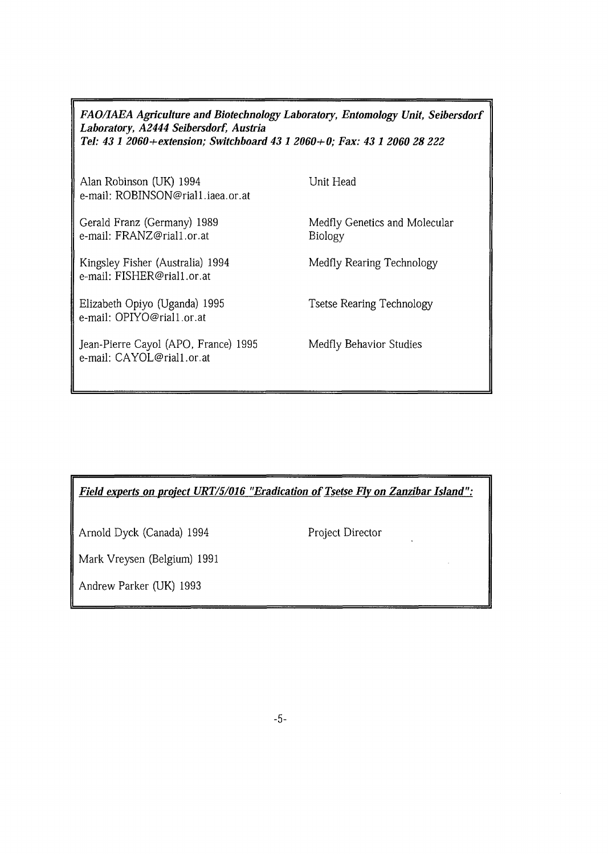# *FAO/IAEA Agriculture and Biotechnology Laboratory, Entomology Unit, Seibersdorf Laboratory, A2444 Seibersdorf, Austria Tel: 43 1 2060+extension; Switchboard 43 1 2060+0; Fax: 43 1 2060 28 222*

Alan Robinson (UK) 1994 e-mail: ROBINSON@riall.iaea.or.at Unit Head

Gerald Franz (Germany) 1989 e-mail: FRANZ@riall.or.at

Kingsley Fisher (Australia) 1994 e-mail: FISHER@riall.or.at

Elizabeth Opiyo (Uganda) 1995 e-mail: OPIYO@riall.or.at

Jean-Pierre Cayol (APO, France) 1995 e-mail: CAYOL@riall.or.at

Medfly Genetics and Molecular Biology

Medfly Rearing Technology

Tsetse Rearing Technology

Medfly Behavior Studies

*Field experts on project URT/5/016 "Eradication of Tsetse Fly on Zanzibar Island":*

Arnold Dyck (Canada) 1994 Project Director

Mark Vreysen (Belgium) 1991

Andrew Parker (UK) 1993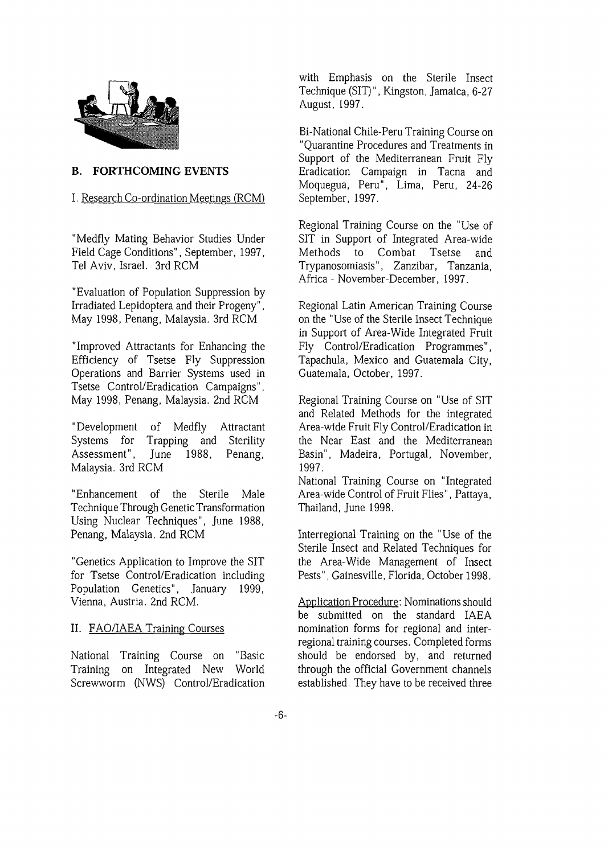

#### **B. FORTHCOMING EVENTS**

#### I. Research Co-ordination Meetings (RCM)

"Medfly Mating Behavior Studies Under Field Cage Conditions", September, 1997, Tel Aviv, Israel. 3rd RCM

"Evaluation of Population Suppression by Irradiated Lepidoptera and their Progeny", May 1998, Penang, Malaysia. 3rd RCM

"Improved Attractants for Enhancing the Efficiency of Tsetse Fly Suppression Operations and Barrier Systems used in Tsetse Control/Eradication Campaigns", May 1998, Penang, Malaysia. 2nd RCM

"Development of Medfly Attractant Systems for Trapping and Sterility Assessment", June 1988, Penang, Malaysia. 3rd RCM

"Enhancement of the Sterile Male Technique Through Genetic Transformation Using Nuclear Techniques", June 1988, Penang, Malaysia. 2nd RCM

"Genetics Application to Improve the SIT for Tsetse Control/Eradication including Population Genetics", January 1999, Vienna, Austria. 2nd RCM.

#### II. FAQ/IAEA Training Courses

National Training Course on "Basic Training on Integrated New World Screwworm (NWS) Control/Eradication with Emphasis on the Sterile Insect Technique (SIT)", Kingston, Jamaica, 6-27 August, 1997.

Bi-National Chile-Peru Training Course on "Quarantine Procedures and Treatments in Support of the Mediterranean Fruit Fly Eradication Campaign in Tacna and Moquegua, Peru", Lima, Peru, 24-26 September, 1997.

Regional Training Course on the "Use of SIT in Support of Integrated Area-wide Methods to Combat Tsetse and Trypanosomiasis", Zanzibar, Tanzania, Africa - November-December, 1997.

Regional Latin American Training Course on the "Use of the Sterile Insect Technique in Support of Area-Wide Integrated Fruit Fly Control/Eradication Programmes", Tapachula, Mexico and Guatemala City, Guatemala, October, 1997.

Regional Training Course on "Use of SIT and Related Methods for the integrated Area-wide Fruit Fly Control/Eradication in the Near East and the Mediterranean Basin", Madeira, Portugal, November, 1997.

National Training Course on "Integrated Area-wide Control of Fruit Flies", Pattaya, Thailand, June 1998.

Interregional Training on the "Use of the Sterile Insect and Related Techniques for the Area-Wide Management of Insect Pests", Gainesville, Florida, October 1998.

Application Procedure: Nominations should be submitted on the standard IAEA nomination forms for regional and interregional training courses. Completed forms should be endorsed by, and returned through the official Government channels established. They have to be received three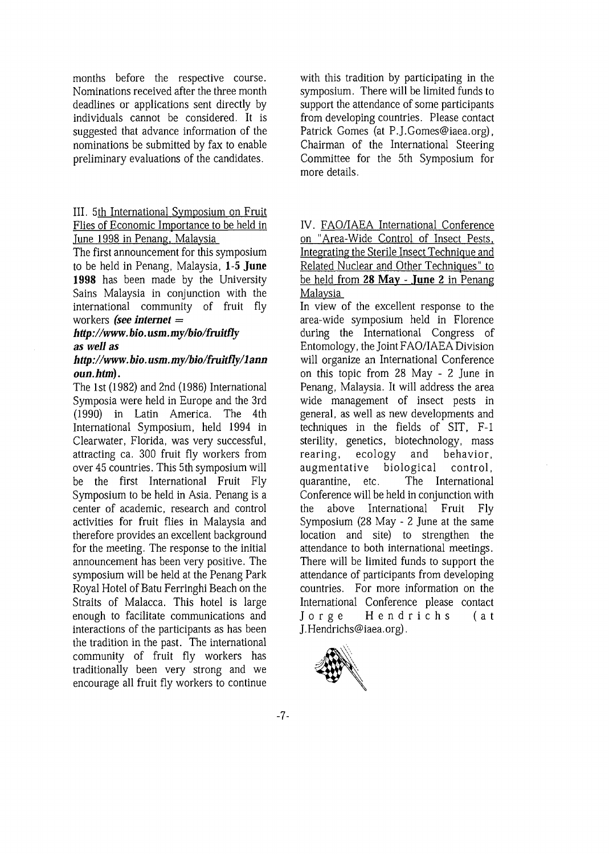months before the respective course. Nominations received after the three month deadlines or applications sent directly by individuals cannot be considered. It is suggested that advance information of the nominations be submitted by fax to enable preliminary evaluations of the candidates.

#### III. 5th International Symposium on Fruit Flies of Economic Importance to be held in June 1998 in Penang, Malaysia

The first announcement for this symposium to be held in Penang, Malaysia, **1-5 June 1998** has been made by the University Sains Malaysia in conjunction with the international community of fruit fly workers *(see internet =*

#### *http://www. bio. usm.my/bio/fruitfly as well as*

#### *http://www.bio.usm.my/bio/fruitfly/lann oun.htm).*

The 1st (1982) and 2nd (1986) International Symposia were held in Europe and the 3rd (1990) in Latin America. The 4th International Symposium, held 1994 in Clearwater, Florida, was very successful, attracting ca. 300 fruit fly workers from over 45 countries. This 5th symposium will be the first International Fruit Fly Symposium to be held in Asia. Penang is a center of academic, research and control activities for fruit flies in Malaysia and therefore provides an excellent background for the meeting. The response to the initial announcement has been very positive. The symposium will be held at the Penang Park Royal Hotel of Batu Ferringhi Beach on the Straits of Malacca. This hotel is large enough to facilitate communications and interactions of the participants as has been the tradition in the past. The international community of fruit fly workers has traditionally been very strong and we encourage all fruit fly workers to continue with this tradition by participating in the symposium. There will be limited funds to support the attendance of some participants from developing countries. Please contact Patrick Gomes (at P.J.Gomes@iaea.org), Chairman of the International Steering Committee for the 5th Symposium for more details.

# IV. FAQ/IAEA International Conference on "Area-Wide Control of Insect Pests. Integrating the Sterile Insect Technique and Related Nuclear and Other Techniques" to be held from **28 May** - **June 2** in Penang Malaysia

In view of the excellent response to the area-wide symposium held in Florence during the International Congress of Entomology, the Joint FAO/IAEA Division will organize an International Conference on this topic from 28 May - 2 June in Penang, Malaysia. It will address the area wide management of insect pests in general, as well as new developments and techniques in the fields of SIT, F-l sterility, genetics, biotechnology, mass rearing, ecology and behavior, augmentative biological control, quarantine, etc. The International Conference will be held in conjunction with the above International Fruit Fly Symposium (28 May - 2 June at the same location and site) to strengthen the attendance to both international meetings. There will be limited funds to support the attendance of participants from developing countries. For more information on the International Conference please contact Jorge Hendrichs (at J.Hendrichs@iaea.org).

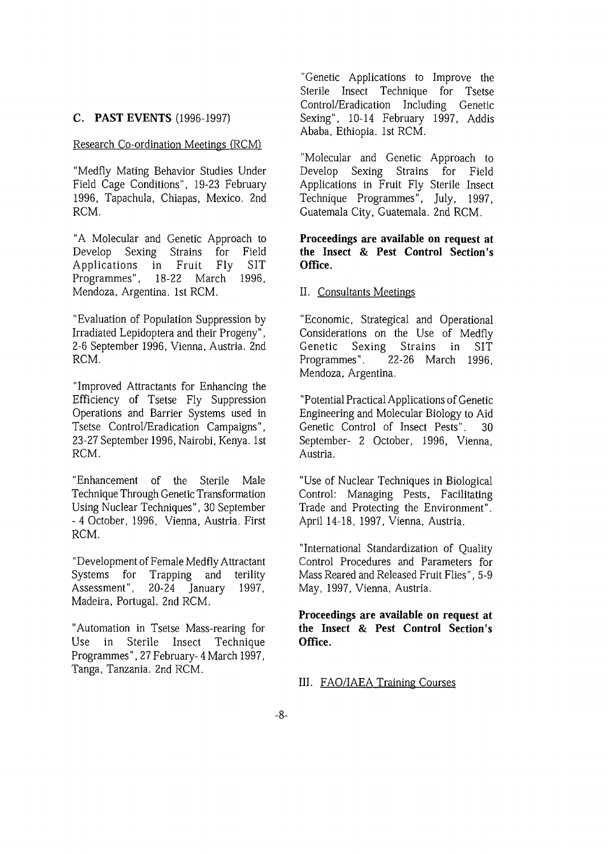#### **C. PAST EVENTS** (1996-1997)

#### Research Co-ordination Meetings (RCM)

"Medfly Mating Behavior Studies Under Field Cage Conditions", 19-23 February 1996, Tapachula, Chiapas, Mexico. 2nd RCM.

"A Molecular and Genetic Approach to Develop Sexing Strains for Field Applications in Fruit Fly SIT Programmes", 18-22 March 1996, Mendoza, Argentina. 1st RCM.

"Evaluation of Population Suppression by Irradiated Lepidoptera and their Progeny", 2-6 September 1996, Vienna, Austria. 2nd RCM.

"Improved Attractants for Enhancing the Efficiency of Tsetse Fly Suppression Operations and Barrier Systems used in Tsetse Control/Eradication Campaigns", 23-27 September 1996, Nairobi, Kenya. 1st RCM.

"Enhancement of the Sterile Male Technique Through Genetic Transformation Using Nuclear Techniques", 30 September - 4 October, 1996, Vienna, Austria. First RCM.

"Development of Female Medfly Attractant Systems for Trapping and terility Assessment", 20-24 January 1997, Madeira, Portugal. 2nd RCM.

"Automation in Tsetse Mass-rearing for Use in Sterile Insect Technique Programmes", 27February-4March 1997, Tanga, Tanzania. 2nd RCM.

"Genetic Applications to Improve the Sterile Insect Technique for Tsetse Control/Eradication Including Genetic Sexing", 10-14 February 1997, Addis Ababa, Ethiopia. 1st RCM.

"Molecular and Genetic Approach to Develop Sexing Strains for Field Applications in Fruit Fly Sterile Insect Technique Programmes", July, 1997, Guatemala City, Guatemala. 2nd RCM.

#### **Proceedings are available on request at the Insect & Pest Control Section's Office.**

II. Consultants Meetings

"Economic, Strategical and Operational Considerations on the Use of Medfly Genetic Sexing Strains in SIT Programmes". 22-26 March 1996, Mendoza, Argentina.

"Potential Practical Applications of Genetic Engineering and Molecular Biology to Aid Genetic Control of Insect Pests". 30 September- 2 October, 1996, Vienna, Austria.

"Use of Nuclear Techniques in Biological Control: Managing Pests, Facilitating Trade and Protecting the Environment". April 14-18, 1997, Vienna, Austria.

"International Standardization of Quality Control Procedures and Parameters for Mass Reared and Released Fruit Flies", 5-9 May, 1997, Vienna, Austria.

**Proceedings are available on request at the Insect & Pest Control Section's Office.**

#### III. FAQ/IAEA Training Courses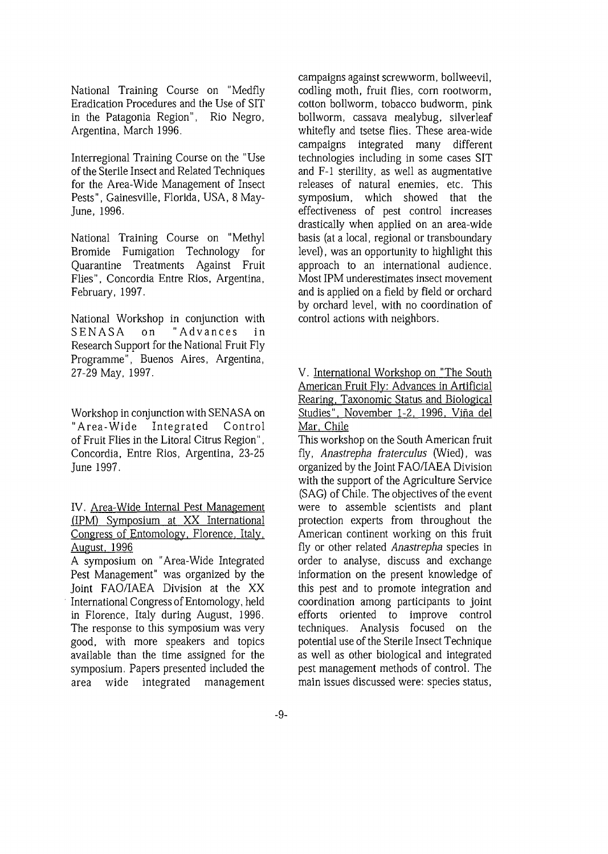National Training Course on "Medfly Eradication Procedures and the Use of SIT in the Patagonia Region", Rio Negro, Argentina, March 1996.

Interregional Training Course on the "Use of the Sterile Insect and Related Techniques for the Area-Wide Management of Insect Pests", Gainesville, Florida, USA, 8 May-June, 1996.

National Training Course on "Methyl Bromide Fumigation Technology for Quarantine Treatments Against Fruit Flies", Concordia Entre Rios, Argentina, February, 1997.

National Workshop in conjunction with SENASA on "Advances in Research Support for the National Fruit Fly Programme", Buenos Aires, Argentina, 27-29 May, 1997.

Workshop in conjunction with SENASA on "Area-Wide Integrated Control of Fruit Flies in the Litoral Citrus Region", Concordia, Entre Rios, Argentina, 23-25 June 1997.

IV. Area-Wide Internal Pest Management (IPM) Symposium at XX International Congress of Entomology. Florence. Italy. August. 1996

A symposium on "Area-Wide Integrated Pest Management" was organized by the Joint FAO/IAEA Division at the XX International Congress of Entomology, held in Florence, Italy during August, 1996. The response to this symposium was very good, with more speakers and topics available than the time assigned for the symposium. Papers presented included the area wide integrated management campaigns against screwworm, bollweevil, codling moth, fruit flies, corn rootworm, cotton bollworm, tobacco budworm, pink bollworm, cassava mealybug, silverleaf whitefly and tsetse flies. These area-wide campaigns integrated many different technologies including in some cases SIT and F-l sterility, as well as augmentative releases of natural enemies, etc. This symposium, which showed that the effectiveness of pest control increases drastically when applied on an area-wide basis (at a local, regional or transboundary level), was an opportunity to highlight this approach to an international audience. Most IPM underestimates insect movement and is applied on a field by field or orchard by orchard level, with no coordination of control actions with neighbors.

V. International Workshop on "The South American Fruit Fly: Advances in Artificial Rearing, Taxonomic Status and Biological Studies". November 1-2, 1996. Vina del Mar. Chile

This workshop on the South American fruit fly, *Anastrepha fraterculus* (Wied), was organized by the Joint FAO/IAEA Division with the support of the Agriculture Service (SAG) of Chile. The objectives of the event were to assemble scientists and plant protection experts from throughout the American continent working on this fruit fly or other related *Anastrepha* species in order to analyse, discuss and exchange information on the present knowledge of this pest and to promote integration and coordination among participants to joint efforts oriented to improve control techniques. Analysis focused on the potential use of the Sterile Insect Technique as well as other biological and integrated pest management methods of control. The main issues discussed were: species status,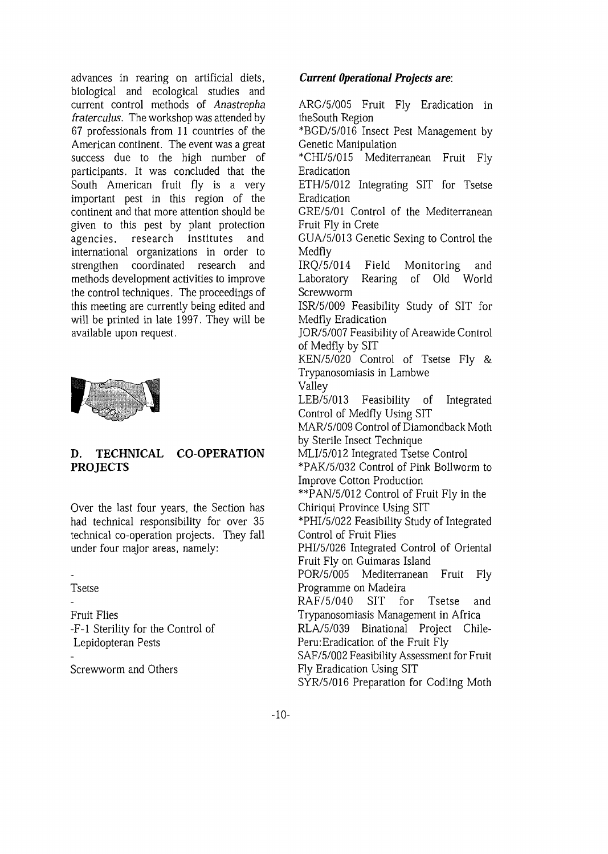advances in rearing on artificial diets, biological and ecological studies and current control methods of *Anastrepha fraterculus.* The workshop was attended by 67 professionals from 11 countries of the American continent. The event was a great success due to the high number of participants. It was concluded that the South American fruit fly is a very important pest in this region of the continent and that more attention should be given to this pest by plant protection agencies, research institutes and international organizations in order to strengthen coordinated research and methods development activities to improve the control techniques. The proceedings of this meeting are currently being edited and will be printed in late 1997. They will be available upon request.



# **D. TECHNICAL CO OPERATION PROJECTS**

Over the last four years, the Section has had technical responsibility for over 35 technical co-operation projects. They fall under four major areas, namely:

**Tsetse** 

Fruit Flies -F-l Sterility for the Control of Lepidopteran Pests

Screwworm and Others

# *Current Operational Projects are:*

ARG/5/005 Fruit Fly Eradication in theSouth Region \*BGD/5/016 Insect Pest Management by

Genetic Manipulation

\*CHI/5/015 Mediterranean Fruit Fly Eradication

ETH/5/012 Integrating SIT for Tsetse Eradication

GRE/5/01 Control of the Mediterranean Fruit Fly in Crete

GUA/5/013 Genetic Sexing to Control the Medfly

IRQ/5/014 Field Monitoring and Laboratory Rearing of Old World Screwworm

ISR/5/009 Feasibility Study of SIT for Medfly Eradication

JOR/5/007 Feasibility of Areawide Control of Medfly by SIT

KEN/5/020 Control of Tsetse Fly & Trypanosomiasis in Lambwe

Valley LEB/5/013 Feasibility of Integrated

Control of Medfly Using SIT

MAR/5/009 Control of Diamondback Moth by Sterile Insect Technique

MLI/5/012 Integrated Tsetse Control

\*PAK/5/032 Control of Pink Bollworm to Improve Cotton Production

\*\*PAN/5/012 Control of Fruit Fly in the Chiriqui Province Using SIT

\*PHI/5/022 Feasibility Study of Integrated Control of Fruit Flies

PHI/5/026 Integrated Control of Oriental Fruit Fly on Guimaras Island

POR/5/005 Mediterranean Fruit Fly Programme on Madeira

RAF/5/040 SIT for Tsetse and Trypanosomiasis Management in Africa

RLA/5/039 Binational Project Chile-Peru: Eradication of the Fruit Fly

SAF/5/002 Feasibility Assessment for Fruit Fly Eradication Using SIT

SYR/5/016 Preparation for Codling Moth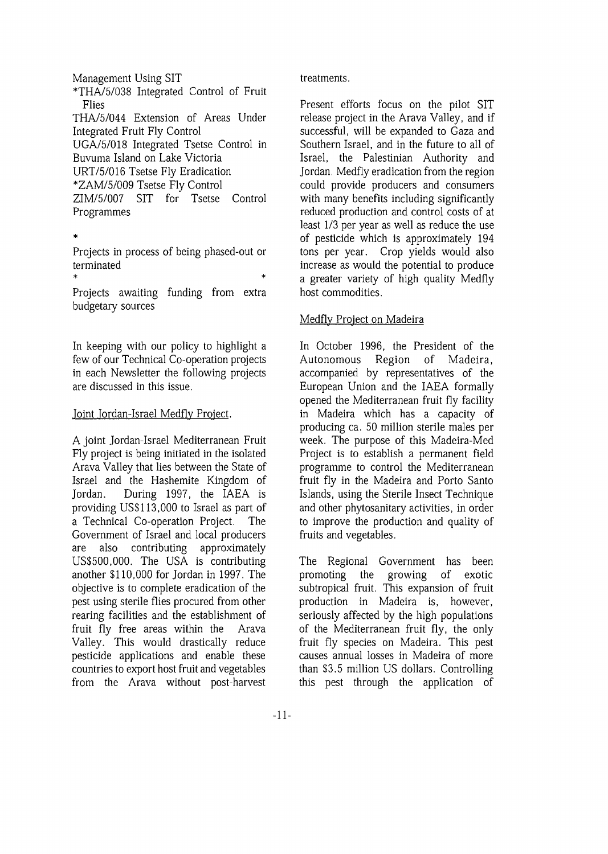Management Using SIT \*THA/5/038 Integrated Control of Fruit Flies THA/5/044 Extension of Areas Under Integrated Fruit Fly Control UGA/5/018 Integrated Tsetse Control in Buvuma Island on Lake Victoria URT/5/016 Tsetse Fly Eradication \*ZAM/5/009 Tsetse Fly Control ZIM/5/007 SIT for Tsetse Control Programmes

 $\ast$ 

Projects in process of being phased-out or terminated

 $*$   $*$ Projects awaiting funding from extra budgetary sources

In keeping with our policy to highlight a few of our Technical Co-operation projects in each Newsletter the following projects are discussed in this issue.

## Joint Jordan-Israel Medfly Project.

A joint Jordan-Israel Mediterranean Fruit Fly project is being initiated in the isolated Arava Valley that lies between the State of Israel and the Hashemite Kingdom of Jordan. During 1997, the IAEA is providing US\$113,000 to Israel as part of a Technical Co-operation Project. The Government of Israel and local producers are also contributing approximately US\$500,000. The USA is contributing another \$110,000 for Jordan in 1997. The objective is to complete eradication of the pest using sterile flies procured from other rearing facilities and the establishment of fruit fly free areas within the Arava Valley. This would drastically reduce pesticide applications and enable these countries to export host fruit and vegetables from the Arava without post-harvest

## treatments.

Present efforts focus on the pilot SIT release project in the Arava Valley, and if successful, will be expanded to Gaza and Southern Israel, and in the future to all of Israel, the Palestinian Authority and Jordan. Medfly eradication from the region could provide producers and consumers with many benefits including significantly reduced production and control costs of at least 1/3 per year as well as reduce the use of pesticide which is approximately 194 tons per year. Crop yields would also increase as would the potential to produce a greater variety of high quality Medfly host commodities.

# Medfly Project on Madeira

In October 1996, the President of the Autonomous Region of Madeira, accompanied by representatives of the European Union and the IAEA formally opened the Mediterranean fruit fly facility in Madeira which has a capacity of producing ca. 50 million sterile males per week. The purpose of this Madeira-Med Project is to establish a permanent field programme to control the Mediterranean fruit fly in the Madeira and Porto Santo Islands, using the Sterile Insect Technique and other phytosanitary activities, in order to improve the production and quality of fruits and vegetables.

The Regional Government has been promoting the growing of exotic subtropical fruit. This expansion of fruit production in Madeira is, however, seriously affected by the high populations of the Mediterranean fruit fly, the only fruit fly species on Madeira. This pest causes annual losses in Madeira of more than \$3.5 million US dollars. Controlling this pest through the application of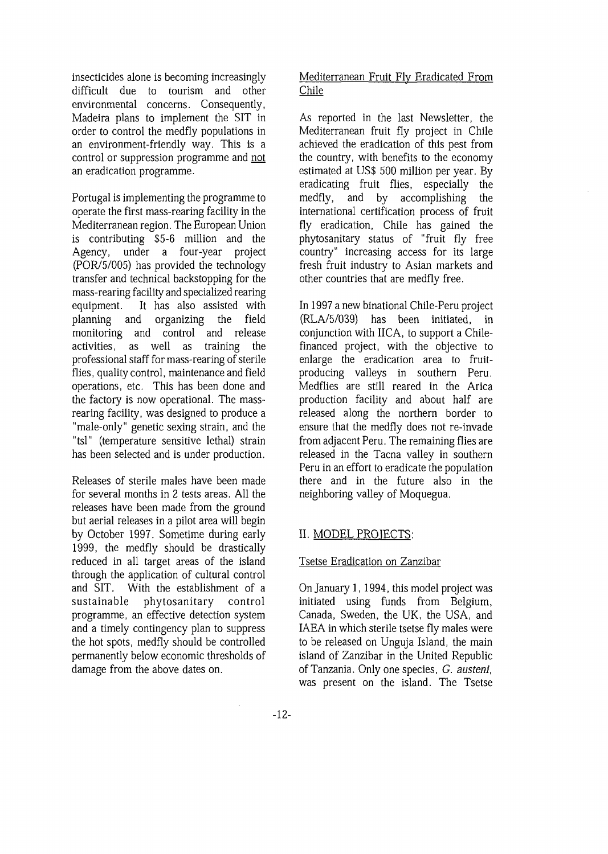insecticides alone is becoming increasingly difficult due to tourism and other environmental concerns. Consequently, Madeira plans to implement the SIT in order to control the medfly populations in an environment-friendly way. This is a control or suppression programme and not an eradication programme.

Portugal is implementing the programme to operate the first mass-rearing facility in the Mediterranean region. The European Union is contributing \$5-6 million and the Agency, under a four-year project (POR/5/005) has provided the technology transfer and technical backstopping for the mass-rearing facility and specialized rearing equipment. It has also assisted with planning and organizing the field monitoring and control and release activities, as well as training the professional staff for mass-rearing of sterile flies, quality control, maintenance and field operations, etc. This has been done and the factory is now operational. The massrearing facility, was designed to produce a "male-only" genetic sexing strain, and the "tsl" (temperature sensitive lethal) strain has been selected and is under production.

Releases of sterile males have been made for several months in 2 tests areas. All the releases have been made from the ground but aerial releases in a pilot area will begin by October 1997. Sometime during early 1999, the medfly should be drastically reduced in all target areas of the island through the application of cultural control and SIT. With the establishment of a sustainable phytosanitary control programme, an effective detection system and a timely contingency plan to suppress the hot spots, medfly should be controlled permanently below economic thresholds of damage from the above dates on.

# Mediterranean Fruit Fly Eradicated From Chile

As reported in the last Newsletter, the Mediterranean fruit fly project in Chile achieved the eradication of this pest from the country, with benefits to the economy estimated at US\$ 500 million per year. By eradicating fruit flies, especially the medfly, and by accomplishing the international certification process of fruit fly eradication, Chile has gained the phytosanitary status of "fruit fly free country" increasing access for its large fresh fruit industry to Asian markets and other countries that are medfly free.

In 1997 a new binational Chile-Peru project (RL A/5/039) has been initiated, in conjunction with IICA, to support a Chilefinanced project, with the objective to enlarge the eradication area to fruitproducing valleys in southern Peru. Medflies are still reared in the Arica production facility and about half are released along the northern border to ensure that the medfly does not re-invade from adjacent Peru. The remaining flies are released in the Tacna valley in southern Peru in an effort to eradicate the population there and in the future also in the neighboring valley of Moquegua.

# II. MODEL PROJECTS:

## Tsetse Eradication on Zanzibar

On January 1, 1994, this model project was initiated using funds from Belgium, Canada, Sweden, the UK, the USA, and IAEA in which sterile tsetse fly males were to be released on Unguja Island, the main island of Zanzibar in the United Republic of Tanzania. Only one species, *G. austeni,* was present on the island. The Tsetse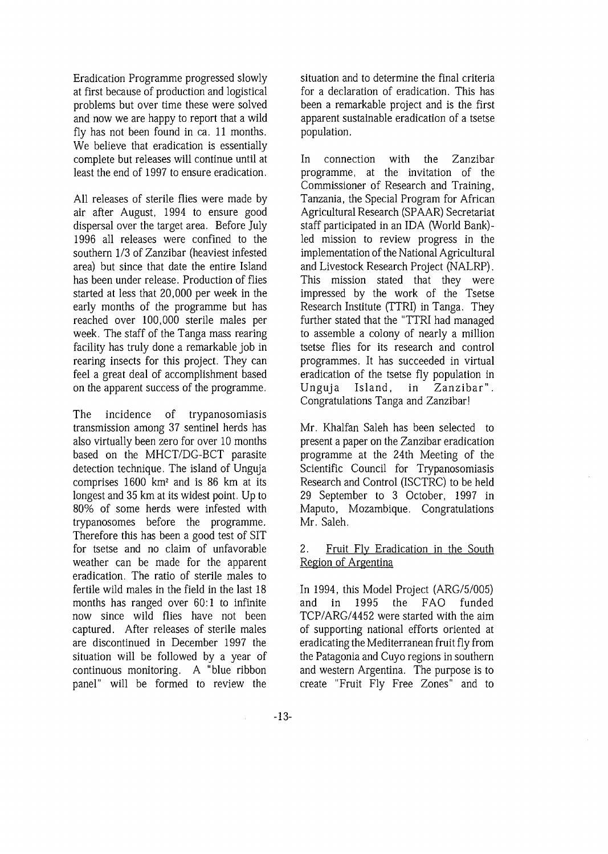Eradication Programme progressed slowly at first because of production and logistical problems but over time these were solved and now we are happy to report that a wild fly has not been found in ca. 11 months. We believe that eradication is essentially complete but releases will continue until at least the end of 1997 to ensure eradication.

All releases of sterile flies were made by air after August, 1994 to ensure good dispersal over the target area. Before July 1996 all releases were confined to the southern 1/3 of Zanzibar (heaviest infested area) but since that date the entire Island has been under release. Production of flies started at less that 20,000 per week in the early months of the programme but has reached over 100,000 sterile males per week. The staff of the Tanga mass rearing facility has truly done a remarkable job in rearing insects for this project. They can feel a great deal of accomplishment based on the apparent success of the programme.

The incidence of trypanosomiasis transmission among 37 sentinel herds has also virtually been zero for over 10 months based on the MHCT/DG-BCT parasite detection technique. The island of Unguja comprises 1600 km<sup>2</sup> and is 86 km at its longest and 35 km at its widest point. Up to 80% of some herds were infested with trypanosomes before the programme. Therefore this has been a good test of SIT for tsetse and no claim of unfavorable weather can be made for the apparent eradication. The ratio of sterile males to fertile wild males in the field in the last 18 months has ranged over 60:1 to infinite now since wild flies have not been captured. After releases of sterile males are discontinued in December 1997 the situation will be followed by a year of continuous monitoring. A "blue ribbon panel" will be formed to review the situation and to determine the final criteria for a declaration of eradication. This has been a remarkable project and is the first apparent sustainable eradication of a tsetse population.

In connection with the Zanzibar programme, at the invitation of the Commissioner of Research and Training, Tanzania, the Special Program for African Agricultural Research (SPAAR) Secretariat staff participated in an IDA (World Bank)led mission to review progress in the implementation of the National Agricultural and Livestock Research Project (NALRP). This mission stated that they were impressed by the work of the Tsetse Research Institute (TTRI) in Tanga. They further stated that the "TTRI had managed to assemble a colony of nearly a million tsetse flies for its research and control programmes. It has succeeded in virtual eradication of the tsetse fly population in Unguja Island, in Zanzibar" . Congratulations Tanga and Zanzibar!

Mr. Khalfan Saleh has been selected to present a paper on the Zanzibar eradication programme at the 24th Meeting of the Scientific Council for Trypanosomiasis Research and Control (ISCTRC) to be held 29 September to 3 October, 1997 in Maputo, Mozambique. Congratulations Mr. Saleh.

## 2. Fruit Fly Eradication in the South Region of Argentina

In 1994, this Model Project (ARG/5/005) and in 1995 the FAO funded TCP/ARG/4452 were started with the aim of supporting national efforts oriented at eradicating the Mediterranean fruit fly from the Patagonia and Cuyo regions in southern and western Argentina. The purpose is to create "Fruit Fly Free Zones" and to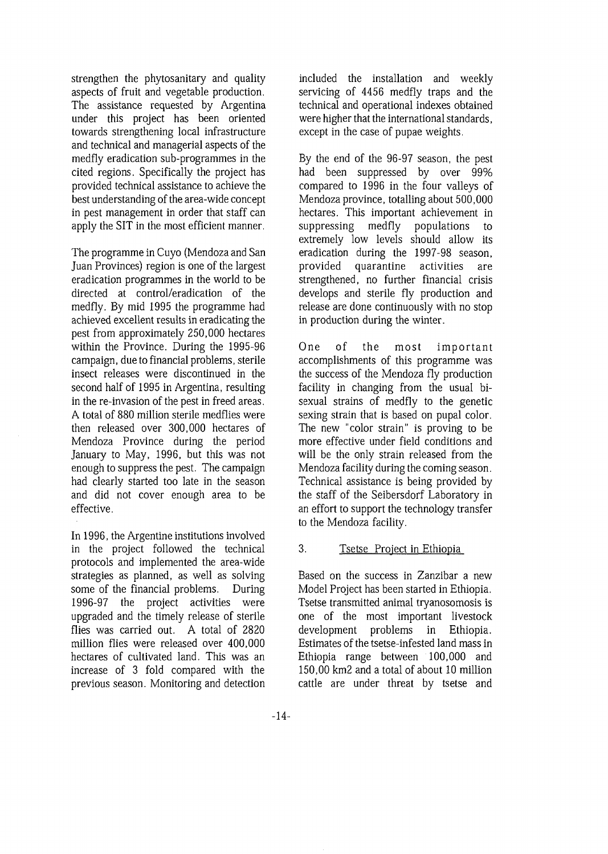strengthen the phytosanitary and quality aspects of fruit and vegetable production. The assistance requested by Argentina under this project has been oriented towards strengthening local infrastructure and technical and managerial aspects of the medfly eradication sub-programmes in the cited regions. Specifically the project has provided technical assistance to achieve the best understanding of the area-wide concept in pest management in order that staff can apply the SIT in the most efficient manner.

The programme in Cuyo (Mendoza and San Juan Provinces) region is one of the largest eradication programmes in the world to be directed at control/eradication of the medfly. By mid 1995 the programme had achieved excellent results in eradicating the pest from approximately 250,000 hectares within the Province. During the 1995-96 campaign, due to financial problems, sterile insect releases were discontinued in the second half of 1995 in Argentina, resulting in the re-invasion of the pest in freed areas. A total of 880 million sterile medflies were then released over 300,000 hectares of Mendoza Province during the period January to May, 1996, but this was not enough to suppress the pest. The campaign had clearly started too late in the season and did not cover enough area to be effective.

In 1996, the Argentine institutions involved in the project followed the technical protocols and implemented the area-wide strategies as planned, as well as solving some of the financial problems. During 1996-97 the project activities were upgraded and the timely release of sterile flies was carried out. A total of 2820 million flies were released over 400,000 hectares of cultivated land. This was an increase of 3 fold compared with the previous season. Monitoring and detection included the installation and weekly servicing of 4456 medfly traps and the technical and operational indexes obtained were higher that the international standards, except in the case of pupae weights.

By the end of the 96-97 season, the pest had been suppressed by over 99% compared to 1996 in the four valleys of Mendoza province, totalling about 500,000 hectares. This important achievement in suppressing medfly populations to extremely low levels should allow its eradication during the 1997-98 season, provided quarantine activities are strengthened, no further financial crisis develops and sterile fly production and release are done continuously with no stop in production during the winter.

One of the most important accomplishments of this programme was the success of the Mendoza fly production facility in changing from the usual bisexual strains of medfly to the genetic sexing strain that is based on pupal color. The new "color strain" is proving to be more effective under field conditions and will be the only strain released from the Mendoza facility during the coming season. Technical assistance is being provided by the staff of the Seibersdorf Laboratory in an effort to support the technology transfer to the Mendoza facility.

#### 3. Tsetse Project in Ethiopia

Based on the success in Zanzibar a new Model Project has been started in Ethiopia. Tsetse transmitted animal tryanosomosis is one of the most important livestock development problems in Ethiopia. Estimates of the tsetse-infested land mass in Ethiopia range between 100,000 and 150,00 km2 and a total of about 10 million cattle are under threat by tsetse and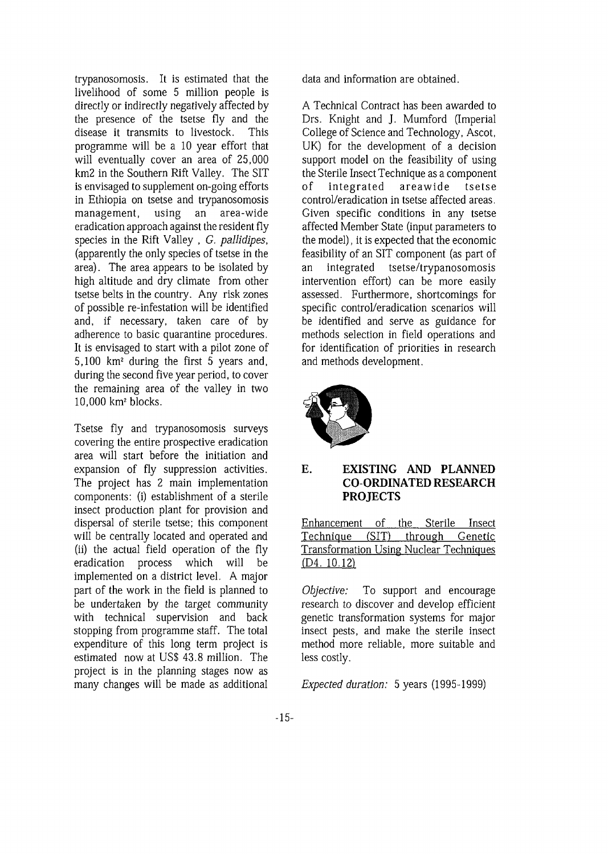trypanosomosis. It is estimated that the livelihood of some 5 million people is directly or indirectly negatively affected by the presence of the tsetse fly and the disease it transmits to livestock. This programme will be a 10 year effort that will eventually cover an area of 25,000 km2 in the Southern Rift Valley. The SIT is envisaged to supplement on-going efforts in Ethiopia on tsetse and trypanosomosis management, using an area-wide eradication approach against the resident fly species in the Rift Valley , *G. pallidipes,* (apparently the only species of tsetse in the area). The area appears to be isolated by high altitude and dry climate from other tsetse belts in the country. Any risk zones of possible re-infestation will be identified and, if necessary, taken care of by adherence to basic quarantine procedures. It is envisaged to start with a pilot zone of 5,100 km<sup>2</sup> during the first 5 years and, during the second five year period, to cover the remaining area of the valley in two uic Temanung area<br>10.000 km2 blocks

Tsetse fly and trypanosomosis surveys covering the entire prospective eradication area will start before the initiation and expansion of fly suppression activities. The project has 2 main implementation components: (i) establishment of a sterile insect production plant for provision and dispersal of sterile tsetse; this component will be centrally located and operated and (ii) the actual field operation of the fly eradication process which will be implemented on a district level. A major part of the work in the field is planned to be undertaken by the target community with technical supervision and back stopping from programme staff. The total expenditure of this long term project is estimated now at US\$ 43.8 million. The project is in the planning stages now as many changes will be made as additional

data and information are obtained.

A Technical Contract has been awarded to Drs. Knight and J. Mumford (Imperial College of Science and Technology, Ascot, UK) for the development of a decision support model on the feasibility of using the Sterile Insect Technique as a component of integrated areawide tsetse control/eradication in tsetse affected areas. Given specific conditions in any tsetse affected Member State (input parameters to the model), it is expected that the economic feasibility of an SIT component (as part of an integrated tsetse/trypanosomosis intervention effort) can be more easily assessed. Furthermore, shortcomings for specific control/eradication scenarios will be identified and serve as guidance for methods selection in field operations and for identification of priorities in research and methods development.



## **E. EXISTING AND PLANNED CO-ORDINATED RESEARCH PROJECTS**

Enhancement of the Sterile Insect Technique (SIT) through Genetic Transformation Using Nuclear Techniques (D4. 10.12)

*Objective:* To support and encourage research to discover and develop efficient genetic transformation systems for major insect pests, and make the sterile insect method more reliable, more suitable and less costly.

*Expected duration:* 5 years (1995-1999)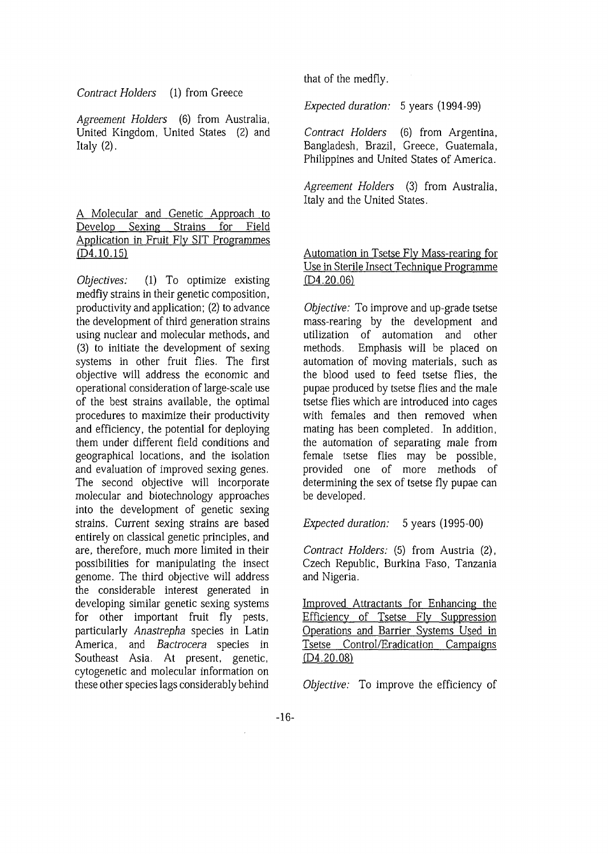*Contract Holders* (1) from Greece

*Agreement Holders* (6) from Australia, United Kingdom, United States (2) and Italy  $(2)$ .

A Molecular and Genetic Approach to Develop Sexing Strains for Field Application in Fruit Fly SIT Programmes (D4. 10.15)

*Objectives:* (1) To optimize existing medfiy strains in their genetic composition, productivity and application; (2) to advance the development of third generation strains using nuclear and molecular methods, and (3) to initiate the development of sexing systems in other fruit flies. The first objective will address the economic and operational consideration of large-scale use of the best strains available, the optimal procedures to maximize their productivity and efficiency, the potential for deploying them under different field conditions and geographical locations, and the isolation and evaluation of improved sexing genes. The second objective will incorporate molecular and biotechnology approaches into the development of genetic sexing strains. Current sexing strains are based entirely on classical genetic principles, and are, therefore, much more limited in their possibilities for manipulating the insect genome. The third objective will address the considerable interest generated in developing similar genetic sexing systems for other important fruit fly pests, particularly *Anastrepha* species in Latin America, and *Bactrocera* species in Southeast Asia. At present, genetic, cytogenetic and molecular information on these other species lags considerably behind

that of the medfiy.

*Expected duration:* 5 years (1994-99)

*Contract Holders* (6) from Argentina, Bangladesh, Brazil, Greece, Guatemala, Philippines and United States of America.

*Agreement Holders* (3) from Australia, Italy and the United States.

## Automation in Tsetse Fly Mass-rearing for Use in Sterile Insect Technique Programme (D4.20.06)

*Objective:* To improve and up-grade tsetse mass-rearing by the development and utilization of automation and other methods. Emphasis will be placed on automation of moving materials, such as the blood used to feed tsetse flies, the pupae produced by tsetse flies and the male tsetse flies which are introduced into cages with females and then removed when mating has been completed. In addition, the automation of separating male from female tsetse flies may be possible, provided one of more methods of determining the sex of tsetse fly pupae can be developed.

*Expected duration:* 5 years (1995-00)

*Contract Holders:* (5) from Austria (2), Czech Republic, Burkina Faso, Tanzania and Nigeria.

Improved Attractants for Enhancing the Efficiency of Tsetse Fly Suppression Operations and Barrier Systems Used in Tsetse Control/Eradication Campaigns (D4.20.08)

*Objective:* To improve the efficiency of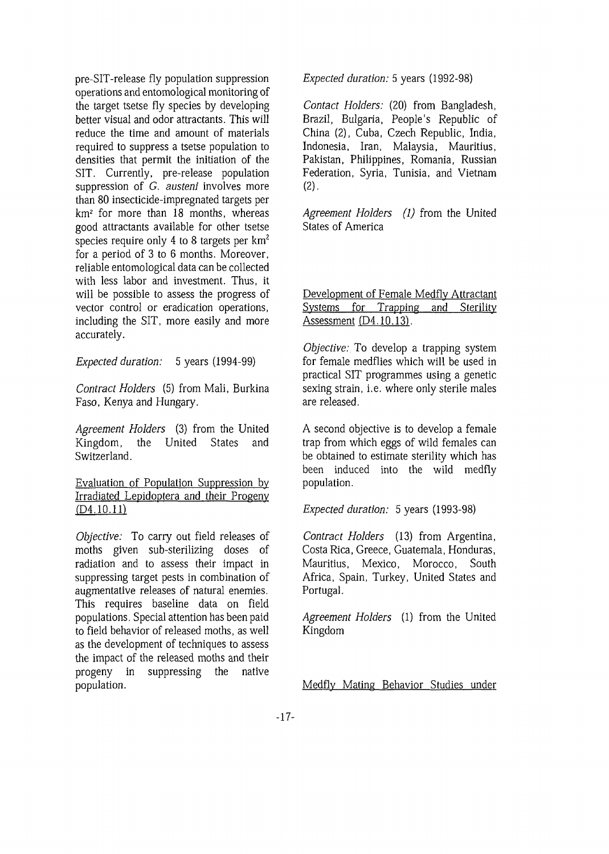pre-SIT-release fly population suppression operations and entomological monitoring of the target tsetse fly species by developing better visual and odor attractants. This will reduce the time and amount of materials required to suppress a tsetse population to densities that permit the initiation of the SIT. Currently, pre-release population suppression of *G. austeni* involves more than 80 insecticide-impregnated targets per km<sup>2</sup> for more than 18 months, whereas good attractants available for other tsetse species require only 4 to 8 targets per  $km^2$ for a period of 3 to 6 months. Moreover, reliable entomological data can be collected with less labor and investment. Thus, it will be possible to assess the progress of vector control or eradication operations, including the SIT, more easily and more accurately.

*Expected duration:* 5 years (1994-99)

*Contract Holders* (5) from Mali, Burkina Faso, Kenya and Hungary.

*Agreement Holders* (3) from the United Kingdom, the United States and Switzerland.

Evaluation of Population Suppression by Irradiated Lepidoptera and their Progeny (D4.10.ll)

*Objective:* To carry out field releases of moths given sub-sterilizing doses of radiation and to assess their impact in suppressing target pests in combination of augmentative releases of natural enemies. This requires baseline data on field populations. Special attention has been paid to field behavior of released moths, as well as the development of techniques to assess the impact of the released moths and their progeny in suppressing the native population.

*Expected duration:* 5 years (1992-98)

*Contact Holders:* (20) from Bangladesh, Brazil, Bulgaria, People's Republic of China (2), Cuba, Czech Republic, India, Indonesia, Iran, Malaysia, Mauritius, Pakistan, Philippines, Romania, Russian Federation, Syria, Tunisia, and Vietnam  $(2)$ .

*Agreement Holders (1)* from the United States of America

#### Development of Female Medfly Attractant Systems for Trapping and Sterility Assessment (D4.10.13).

*Objective: To* develop a trapping system for female medflies which will be used in practical SIT programmes using a genetic sexing strain, i.e. where only sterile males are released.

A second objective is to develop a female trap from which eggs of wild females can be obtained to estimate sterility which has been induced into the wild medfly population.

*Expected duration:* 5 years (1993-98)

*Contract Holders* (13) from Argentina, Costa Rica, Greece, Guatemala, Honduras, Mauritius, Mexico, Morocco, South Africa, Spain, Turkey, United States and Portugal.

*Agreement Holders* (1) from the United Kingdom

Medflv Mating Behavior Studies under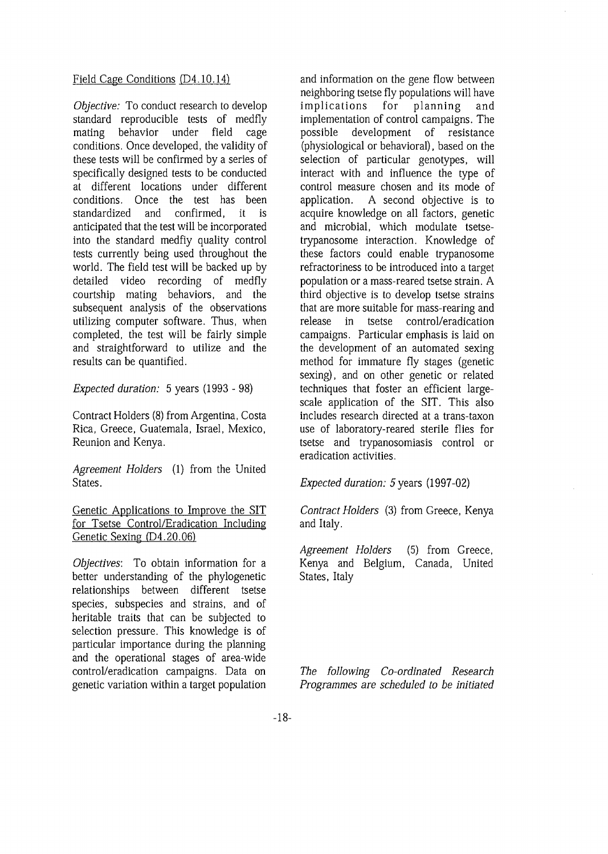#### Field Cage Conditions (D4.10.14)

*Objective:* To conduct research to develop standard reproducible tests of medfly mating behavior under field cage conditions. Once developed, the validity of these tests will be confirmed by a series of specifically designed tests to be conducted at different locations under different conditions. Once the test has been standardized and confirmed, it is anticipated that the test will be incorporated into the standard medfiy quality control tests currently being used throughout the world. The field test will be backed up by detailed video recording of medfly courtship mating behaviors, and the subsequent analysis of the observations utilizing computer software. Thus, when completed, the test will be fairly simple and straightforward to utilize and the results can be quantified.

*Expected duration:* 5 years (1993 - 98)

Contract Holders (8) from Argentina, Costa Rica, Greece, Guatemala, Israel, Mexico, Reunion and Kenya.

*Agreement Holders* (1) from the United States.

Genetic Applications to Improve the SIT for Tsetse Control/Eradication Including Genetic Sexing (D4.20.06)

*Objectives:* To obtain information for a better understanding of the phylogenetic relationships between different tsetse species, subspecies and strains, and of heritable traits that can be subjected to selection pressure. This knowledge is of particular importance during the planning and the operational stages of area-wide control/eradication campaigns. Data on genetic variation within a target population

and information on the gene flow between neighboring tsetse fly populations will have implications for planning and implementation of control campaigns. The possible development of resistance (physiological or behavioral), based on the selection of particular genotypes, will interact with and influence the type of control measure chosen and its mode of application. A second objective is to acquire knowledge on all factors, genetic and microbial, which modulate tsetsetrypanosome interaction. Knowledge of these factors could enable trypanosome refractoriness to be introduced into a target population or a mass-reared tsetse strain. A third objective is to develop tsetse strains that are more suitable for mass-rearing and release in tsetse control/eradication campaigns. Particular emphasis is laid on the development of an automated sexing method for immature fly stages (genetic sexing), and on other genetic or related techniques that foster an efficient largescale application of the SIT. This also includes research directed at a trans-taxon use of laboratory-reared sterile flies for tsetse and trypanosomiasis control or eradication activities.

*Expected duration:* 5 years (1997-02)

*Contract Holders* (3) from Greece, Kenya and Italy.

*Agreement Holders* (5) from Greece, Kenya and Belgium, Canada, United States, Italy

*The following Co-ordinated Research Programmes are scheduled to be initiated*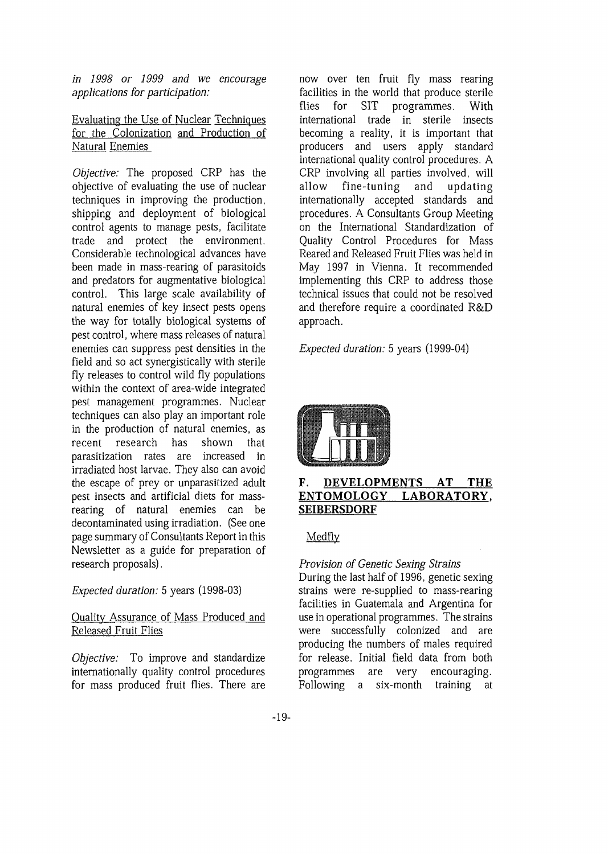*in 1998 or 1999 and we encourage applications for participation:*

Evaluating the Use of Nuclear Techniques for the Colonization and Production of Natural Enemies

*Objective:* The proposed CRP has the objective of evaluating the use of nuclear techniques in improving the production, shipping and deployment of biological control agents to manage pests, facilitate trade and protect the environment. Considerable technological advances have been made in mass-rearing of parasitoids and predators for augmentative biological control. This large scale availability of natural enemies of key insect pests opens the way for totally biological systems of pest control, where mass releases of natural enemies can suppress pest densities in the field and so act synergistically with sterile fly releases to control wild fly populations within the context of area-wide integrated pest management programmes. Nuclear techniques can also play an important role in the production of natural enemies, as recent research has shown that parasitization rates are increased in irradiated host larvae. They also can avoid the escape of prey or unparasitized adult pest insects and artificial diets for massrearing of natural enemies can be decontaminated using irradiation. (See one page summary of Consultants Report in this Newsletter as a guide for preparation of research proposals).

## *Expected duration:* 5 years (1998-03)

#### Quality Assurance of Mass Produced and Released Fruit Flies

*Objective:* To improve and standardize internationally quality control procedures for mass produced fruit flies. There are

now over ten fruit fly mass rearing facilities in the world that produce sterile flies for SIT programmes. With international trade in sterile insects becoming a reality, it is important that producers and users apply standard international quality control procedures. A CRP involving all parties involved, will allow fine-tuning and updating internationally accepted standards and procedures. A Consultants Group Meeting on the International Standardization of Quality Control Procedures for Mass Reared and Released Fruit Flies was held in May 1997 in Vienna. It recommended implementing this CRP to address those technical issues that could not be resolved and therefore require a coordinated R&D approach.

*Expected duration:* 5 years (1999-04)



#### **F. DEVELOPMENTS AT THE ENTOMOLOGY LABORATORY. SEIBERSDORF**

Medfly

## *Provision of Genetic Sexing Strains*

During the last half of 1996, genetic sexing strains were re-supplied to mass-rearing facilities in Guatemala and Argentina for use in operational programmes. The strains were successfully colonized and are producing the numbers of males required for release. Initial field data from both programmes are very encouraging. Following a six-month training at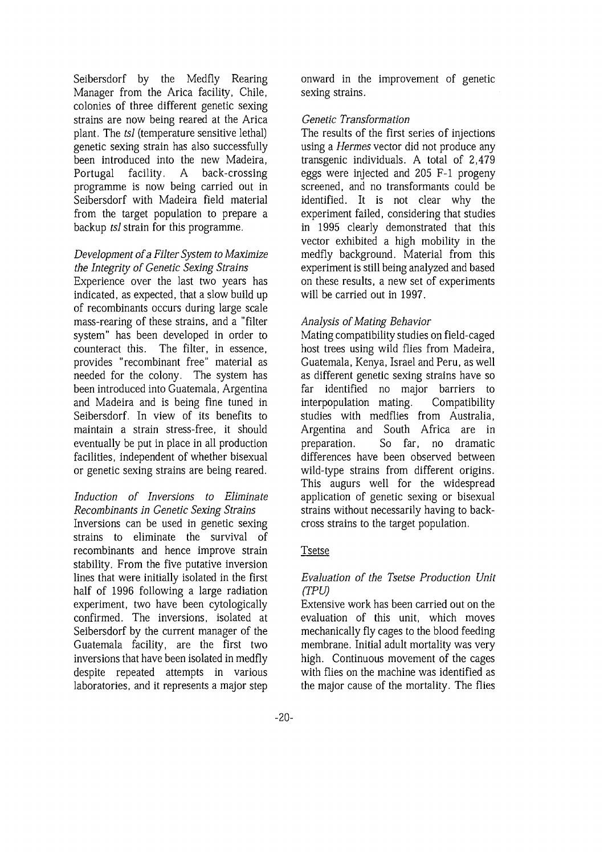Seibersdorf by the Medfly Rearing Manager from the Arica facility, Chile, colonies of three different genetic sexing strains are now being reared at the Arica plant. The *tsl* (temperature sensitive lethal) genetic sexing strain has also successfully been introduced into the new Madeira, Portugal facility. A back-crossing programme is now being carried out in Seibersdorf with Madeira field material from the target population to prepare a backup *tsl* strain for this programme.

#### *Development of a Filter System to Maximize the Integrity of Genetic Sexing Strains*

Experience over the last two years has indicated, as expected, that a slow build up of recombinants occurs during large scale mass-rearing of these strains, and a "filter system" has been developed in order to counteract this. The filter, in essence, provides "recombinant free" material as needed for the colony. The system has been introduced into Guatemala, Argentina and Madeira and is being fine tuned in Seibersdorf. In view of its benefits to maintain a strain stress-free, it should eventually be put in place in all production facilities, independent of whether bisexual or genetic sexing strains are being reared.

# *Induction of Inversions to Eliminate Recombinants in Genetic Sexing Strains* Inversions can be used in genetic sexing strains to eliminate the survival of

recombinants and hence improve strain stability. From the five putative inversion lines that were initially isolated in the first half of 1996 following a large radiation experiment, two have been cytologically confirmed. The inversions, isolated at Seibersdorf by the current manager of the Guatemala facility, are the first two inversions that have been isolated in medfly despite repeated attempts in various laboratories, and it represents a major step onward in the improvement of genetic sexing strains.

# *Genetic Transformation*

The results of the first series of injections using a *Hermes* vector did not produce any transgenic individuals. A total of 2,479 eggs were injected and 205 F-l progeny screened, and no transformants could be identified. It is not clear why the experiment failed, considering that studies in 1995 clearly demonstrated that this vector exhibited a high mobility in the medfly background. Material from this experiment is still being analyzed and based on these results, a new set of experiments will be carried out in 1997.

## *Analysis of Mating Behavior*

Mating compatibility studies on field-caged host trees using wild flies from Madeira, Guatemala, Kenya, Israel and Peru, as well as different genetic sexing strains have so far identified no major barriers to interpopulation mating. Compatibility studies with medflies from Australia, Argentina and South Africa are in preparation. So far, no dramatic differences have been observed between wild-type strains from different origins. This augurs well for the widespread application of genetic sexing or bisexual strains without necessarily having to backcross strains to the target population.

## Tsetse

## *Evaluation of the Tsetse Production Unit (TPU)*

Extensive work has been carried out on the evaluation of this unit, which moves mechanically fly cages to the blood feeding membrane. Initial adult mortality was very high. Continuous movement of the cages with flies on the machine was identified as the major cause of the mortality. The flies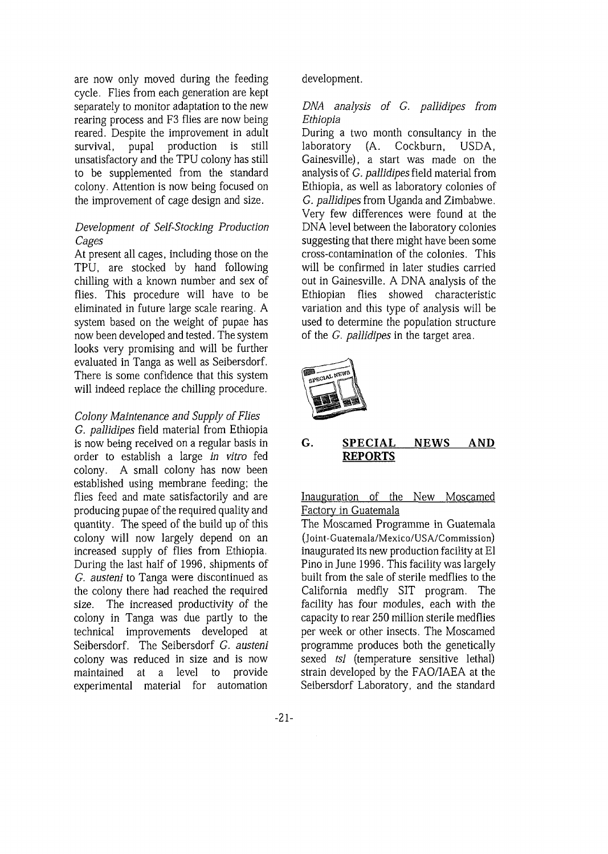are now only moved during the feeding cycle. Flies from each generation are kept separately to monitor adaptation to the new rearing process and F3 flies are now being reared. Despite the improvement in adult survival, pupal production is still unsatisfactory and the TPU colony has still to be supplemented from the standard colony. Attention is now being focused on the improvement of cage design and size.

#### *Development of Self-Stocking Production Cages*

At present all cages, including those on the TPU, are stocked by hand following chilling with a known number and sex of flies. This procedure will have to be eliminated in future large scale rearing. A system based on the weight of pupae has now been developed and tested. The system looks very promising and will be further evaluated in Tanga as well as Seibersdorf. There is some confidence that this system will indeed replace the chilling procedure.

## *Colony Maintenance and Supply of Flies*

*G. pallidipes* field material from Ethiopia is now being received on a regular basis in order to establish a large *in vitro* fed colony. A small colony has now been established using membrane feeding; the flies feed and mate satisfactorily and are producing pupae of the required quality and quantity. The speed of the build up of this colony will now largely depend on an increased supply of flies from Ethiopia. During the last half of 1996, shipments of *G. austeni* to Tanga were discontinued as the colony there had reached the required size. The increased productivity of the colony in Tanga was due partly to the technical improvements developed at Seibersdorf. The Seibersdorf *G. austeni* colony was reduced in size and is now maintained at a level to provide experimental material for automation development.

## *DNA analysis of G. pallidipes from Ethiopia*

During a two month consultancy in the laboratory (A. Cockburn, USDA, Gainesville), a start was made on the analysis of *G. pallidipes* field material from Ethiopia, as well as laboratory colonies of *G. pallidipes* from Uganda and Zimbabwe. Very few differences were found at the DNA level between the laboratory colonies suggesting that there might have been some cross-contamination of the colonies. This will be confirmed in later studies carried out in Gainesville. A DNA analysis of the Ethiopian flies showed characteristic variation and this type of analysis will be used to determine the population structure of the *G. pallidipes* in the target area.



# **G. SPECIAL NEWS AND REPORTS**

Inauguration of the New Moscamed Factory in Guatemala

The Moscamed Programme in Guatemala (Joint-Guatemala/Mexico/US A/Commission) inaugurated its new production facility at El Pino in June 1996. This facility was largely built from the sale of sterile medflies to the California medfly SIT program. The facility has four modules, each with the capacity to rear 250 million sterile medflies per week or other insects. The Moscamed programme produces both the genetically sexed *tsl* (temperature sensitive lethal) strain developed by the FAO/IAEA at the Seibersdorf Laboratory, and the standard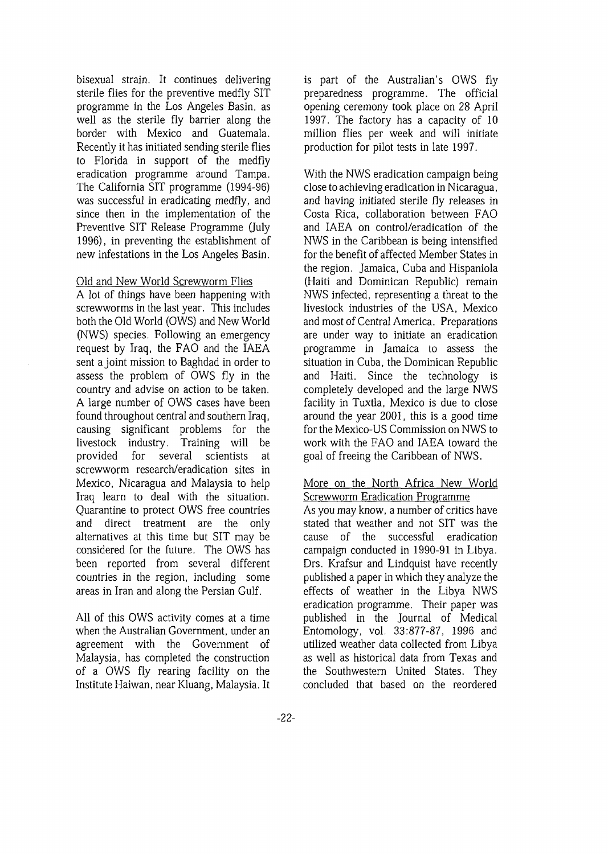bisexual strain. It continues delivering sterile flies for the preventive medfly SIT programme in the Los Angeles Basin, as well as the sterile fly barrier along the border with Mexico and Guatemala. Recently it has initiated sending sterile flies to Florida in support of the medfly eradication programme around Tampa. The California SIT programme (1994-96) was successful in eradicating medfly, and since then in the implementation of the Preventive SIT Release Programme (July 1996), in preventing the establishment of new infestations in the Los Angeles Basin.

#### Old and New World Screwworm Flies

A lot of things have been happening with screwworms in the last year. This includes both the Old World (OWS) and New World (NWS) species. Following an emergency request by Iraq, the FAO and the IAEA sent a joint mission to Baghdad in order to assess the problem of OWS fly in the country and advise *on* action to be taken. A large number of OWS cases have been found throughout central and southern Iraq, causing significant problems for the livestock industry. Training will be provided for several scientists at screwworm research/eradication sites in Mexico, Nicaragua and Malaysia to help Iraq learn to deal with the situation. Quarantine to protect OWS free countries and direct treatment are the only alternatives at this time but SIT may be considered for the future. The OWS has been reported from several different countries in the region, including some areas in Iran and along the Persian Gulf.

All of this OWS activity comes at a time when the Australian Government, under an agreement with the Government of Malaysia, has completed the construction of a OWS fly rearing facility on the Institute Haiwan, near Kluang, Malaysia. It is part of the Australian's OWS fly preparedness programme. The official opening ceremony took place on 28 April 1997. The factory has a capacity of 10 million flies per week and will initiate production for pilot tests in late 1997.

With the NWS eradication campaign being close to achieving eradication in Nicaragua, and having initiated sterile fly releases in Costa Rica, collaboration between FAO and IAEA on control/eradication of the NWS in the Caribbean is being intensified for the benefit of affected Member States in the region. Jamaica, Cuba and Hispaniola (Haiti and Dominican Republic) remain NWS infected, representing a threat to the livestock industries of the USA, Mexico and most of Central America. Preparations are under way to initiate an eradication programme in Jamaica to assess the situation in Cuba, the Dominican Republic and Haiti. Since the technology is completely developed and the large NWS facility in Tuxtla, Mexico is due to close around the year 2001, this is a good time for the Mexico-US Commission on NWS to work with the FAO and IAEA toward the goal of freeing the Caribbean of NWS.

#### More on the North Africa New World Screwworm Eradication Programme

As you may know, a number of critics have stated that weather and not SIT was the cause of the successful eradication campaign conducted in 1990-91 in Libya. Drs. Krafsur and Lindquist have recently published a paper in which they analyze the effects of weather in the Libya NWS eradication programme. Their paper was published in the Journal of Medical Entomology, vol. 33:877-87, 1996 and utilized weather data collected from Libya as well as historical data from Texas and the Southwestern United States. They concluded that based on the reordered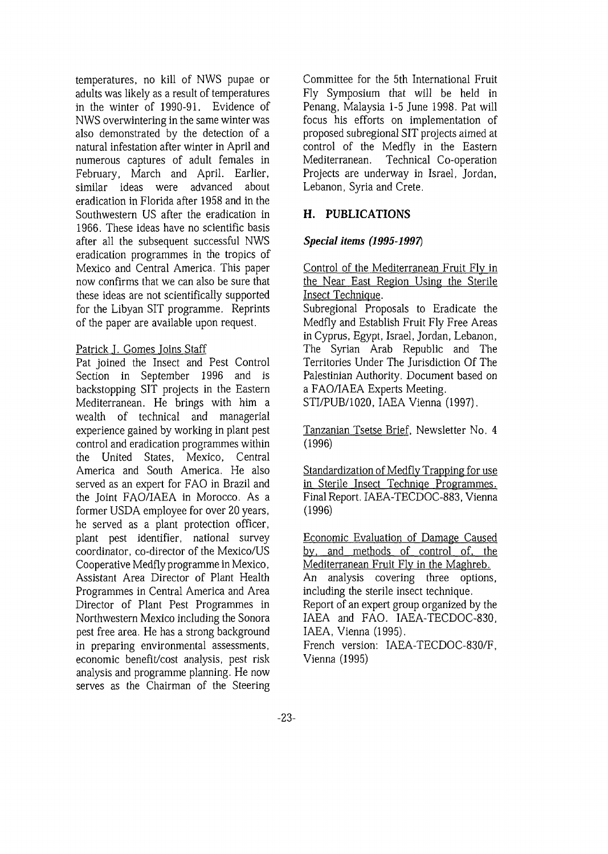temperatures, no kill of NWS pupae or adults was likely as a result of temperatures in the winter of 1990-91. Evidence of NWS overwintering in the same winter was also demonstrated by the detection of a natural infestation after winter in April and numerous captures of adult females in February, March and April. Earlier, similar ideas were advanced about eradication in Florida after 1958 and in the Southwestern US after the eradication in 1966. These ideas have no scientific basis after all the subsequent successful NWS eradication programmes in the tropics of Mexico and Central America. This paper now confirms that we can also be sure that these ideas are not scientifically supported for the Libyan SIT programme. Reprints of the paper are available upon request.

## Patrick J. Gomes joins Staff

Pat joined the Insect and Pest Control Section in September 1996 and is backstopping SIT projects in the Eastern Mediterranean. He brings with him a wealth of technical and managerial experience gained by working in plant pest control and eradication programmes within the United States, Mexico, Central America and South America. He also served as an expert for FAO in Brazil and the Joint FAO/IAEA in Morocco. As a former USDA employee for over 20 years, he served as a plant protection officer, plant pest identifier, national survey coordinator, co-director of the Mexico/US Cooperative Medfly programme in Mexico, Assistant Area Director of Plant Health Programmes in Central America and Area Director of Plant Pest Programmes in Northwestern Mexico including the Sonora pest free area. He has a strong background in preparing environmental assessments, economic benefit/cost analysis, pest risk analysis and programme planning. He now serves as the Chairman of the Steering

Committee for the 5th International Fruit Fly Symposium that will be held in Penang, Malaysia 1-5 June 1998. Pat will focus his efforts on implementation of proposed subregional SIT projects aimed at control of the Medfly in the Eastern Mediterranean. Technical Co-operation Projects are underway in Israel, Jordan, Lebanon, Syria and Crete.

# **H. PUBLICATIONS**

## *Special items (1995-1997)*

Control of the Mediterranean Fruit Fly in the Near East Region Using the Sterile Insect Technique.

Subregional Proposals to Eradicate the Medfly and Establish Fruit Fly Free Areas in Cyprus, Egypt, Israel, Jordan, Lebanon, The Syrian Arab Republic and The Territories Under The Jurisdiction Of The Palestinian Authority. Document based on a FAO/IAEA Experts Meeting. STI/PUB/1020, IAEA Vienna (1997).

Tanzanian Tsetse Brief, Newsletter No. 4 (1996)

Standardization of Medfly Trapping for use in Sterile Insect Techniqe Programmes. Final Report. IAEA-TECDOC-883, Vienna (1996)

Economic Evaluation of Damage Caused by, and methods of control of, the Mediterranean Fruit Fly in the Maghreb. An analysis covering three options, including the sterile insect technique. Report of an expert group organized by the IAEA and FAO. IAEA-TECDOC-830, IAEA, Vienna (1995).

French version: IAEA-TECDOC-830/F, Vienna (1995)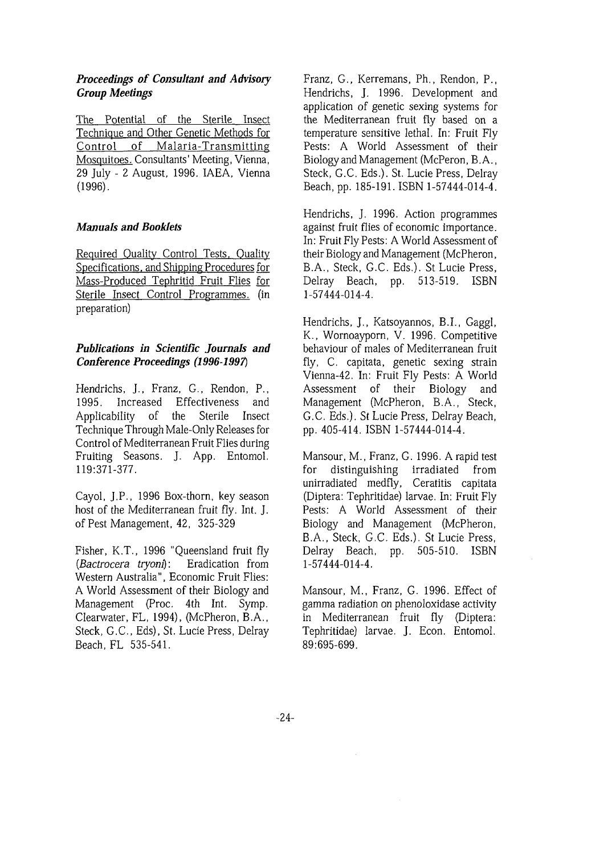## *Proceedings of Consultant and Advisory Group Meetings*

The Potential of the Sterile Insect Technique and Other Genetic Methods for Control of Malaria-Transmitting Mosquitoes. Consultants' Meeting, Vienna, 29 July - 2 August, 1996. IAEA, Vienna (1996).

## *Manuals and Booklets*

Required Quality Control Tests, Quality Specifications, and Shipping Procedures for Mass-Produced Tephritid Fruit Flies for Sterile Insect Control Programmes, (in preparation)

# *Publications in Scientific Journals and Conference Proceedings (1996-1997)*

Hendrichs, J., Franz, G., Rendon, P., 1995. Increased Effectiveness and Applicability of the Sterile Insect Technique Through Male-Only Releases for Control of Mediterranean Fruit Flies during Fruiting Seasons. J. App. Entomol. 119:371-377.

Cayol, J.P., 1996 Box-thorn, key season host of the Mediterranean fruit fly. Int. J. of Pest Management, 42, 325-329

Fisher, K.T., 1996 "Queensland fruit fly *{Bactrocera tryom):* Eradication from Western Australia", Economic Fruit Flies: A World Assessment of their Biology and Management (Proc. 4th Int. Symp. Clearwater, FL, 1994), (McPheron, B.A., Steck, G.C., Eds), St. Lucie Press, Delray Beach, FL 535-541.

Franz, G., Kerremans, Ph., Rendon, P., Hendrichs, J. 1996. Development and application of genetic sexing systems for the Mediterranean fruit fly based on a temperature sensitive lethal. In: Fruit Fly Pests: A World Assessment of their Biology and Management (McPeron, B. A., Steck, G.C. Eds.). St. Lucie Press, Delray Beach, pp. 185-191. ISBN 1-57444-014-4.

Hendrichs, J. 1996. Action programmes against fruit flies of economic importance. In: Fruit Fly Pests: A World Assessment of their Biology and Management (McPheron, B.A., Steck, G.C. Eds.). St Lucie Press, Delray Beach, pp. 513-519. ISBN 1-57444-014-4.

Hendrichs, J., Katsoyannos, B.I., Gaggl, K., Wornoayporn, V. 1996. Competitive behaviour of males of Mediterranean fruit fly, C. capitata, genetic sexing strain Vienna-42. In: Fruit Fly Pests: A World Assessment of their Biology and Management (McPheron, B.A., Steck, G.C. Eds.). St Lucie Press, Delray Beach, pp. 405-414. ISBN 1-57444-014-4.

Mansour, M., Franz, G. 1996. A rapid test for distinguishing irradiated from unirradiated medfly, Ceratitis capitata (Diptera: Tephritidae) larvae. In: Fruit Fly Pests: A World Assessment of their Biology and Management (McPheron, B.A., Steck, G.C. Eds.). St Lucie Press, Delray Beach, pp. 505-510. ISBN 1-57444-014-4.

Mansour, M., Franz, G. 1996. Effect of gamma radiation on phenoloxidase activity in Mediterranean fruit fly (Diptera: Tephritidae) larvae. J. Econ. Entomol. 89:695-699.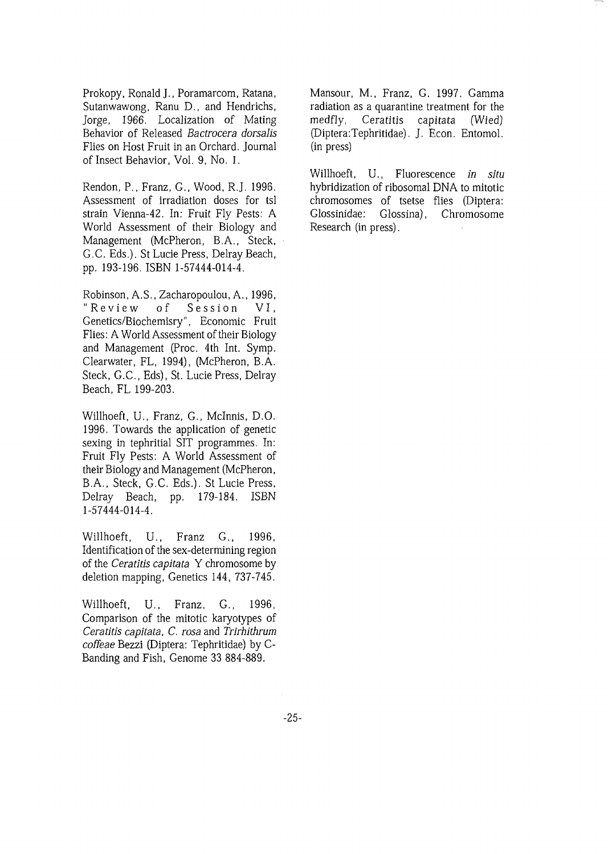Prokopy, Ronald J., Poramarcom, Ratana, Sutanwawong, Ranu D., and Hendrichs, Jorge, 1966. Localization of Mating Behavior of Released *Bactrocera dorsalis* Flies on Host Fruit in an Orchard. Journal of Insect Behavior, Vol. 9, No. 1,

Rendon, P., Franz, G., Wood, R.J. 1996. Assessment of irradiation doses for tsl strain Vienna-42. In: Fruit Fly Pests: A World Assessment of their Biology and Management (McPheron, B.A., Steck, G.C. Eds.). St Lucie Press, Delray Beach, pp. 193-196. ISBN 1-57444-014-4.

Robinson, A.S., Zacharopoulou, A., 1996, "Review of Session VI, Genetics/Biochemisry", Economic Fruit Flies: A World Assessment of their Biology and Management (Proc. 4th Int. Symp. Clearwater, FL, 1994), (McPheron, B.A. Steck, G.C., Eds), St. Lucie Press, Delray Beach, FL 199-203.

Willhoeft, U., Franz, G., Mclnnis, D.O. 1996. Towards the application of genetic sexing in tephritial SIT programmes. In: Fruit Fly Pests: A World Assessment of their Biology and Management (McPheron, B.A., Steck, G.C. Eds.). St Lucie Press, Delray Beach, pp. 179-184. ISBN 1-57444-014-4.

Willhoeft, U., Franz G., 1996, Identification of the sex-determining region of the *Ceratitis capitata* Y chromosome by deletion mapping, Genetics 144, 737-745.

Willhoeft, U.. Franz, G., 1996, Comparison of the mitotic karyotypes of *Ceratitis capitata, C. rosa* and *Trirhithrum coffeae* Bezzi (Diptera: Tephritidae) by C-Banding and Fish, Genome 33 884-889.

Mansour, M., Franz, G. 1997. Gamma radiation as a quarantine treatment for the medfly, Ceratitis capitata (Wied) (Diptera:Tephritidae). J. Econ. Entomol. (in press)

Willhoeft, U., Fluorescence *in situ* hybridization of ribosomal DNA to mitotic chromosomes of tsetse flies (Diptera: Glossinidae: Glossina), Chromosome Research (in press).